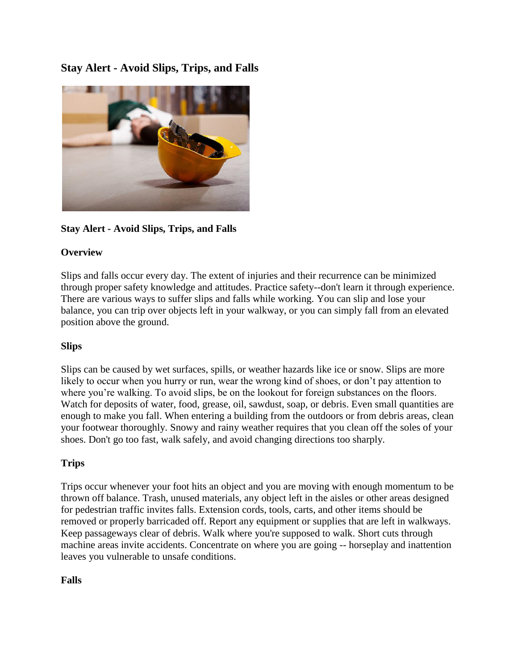**Stay Alert - Avoid Slips, Trips, and Falls** 



**Stay Alert - Avoid Slips, Trips, and Falls**

## **Overview**

Slips and falls occur every day. The extent of injuries and their recurrence can be minimized through proper safety knowledge and attitudes. Practice safety--don't learn it through experience. There are various ways to suffer slips and falls while working. You can slip and lose your balance, you can trip over objects left in your walkway, or you can simply fall from an elevated position above the ground.

## **Slips**

Slips can be caused by wet surfaces, spills, or weather hazards like ice or snow. Slips are more likely to occur when you hurry or run, wear the wrong kind of shoes, or don't pay attention to where you're walking. To avoid slips, be on the lookout for foreign substances on the floors. Watch for deposits of water, food, grease, oil, sawdust, soap, or debris. Even small quantities are enough to make you fall. When entering a building from the outdoors or from debris areas, clean your footwear thoroughly. Snowy and rainy weather requires that you clean off the soles of your shoes. Don't go too fast, walk safely, and avoid changing directions too sharply.

## **Trips**

Trips occur whenever your foot hits an object and you are moving with enough momentum to be thrown off balance. Trash, unused materials, any object left in the aisles or other areas designed for pedestrian traffic invites falls. Extension cords, tools, carts, and other items should be removed or properly barricaded off. Report any equipment or supplies that are left in walkways. Keep passageways clear of debris. Walk where you're supposed to walk. Short cuts through machine areas invite accidents. Concentrate on where you are going -- horseplay and inattention leaves you vulnerable to unsafe conditions.

## **Falls**